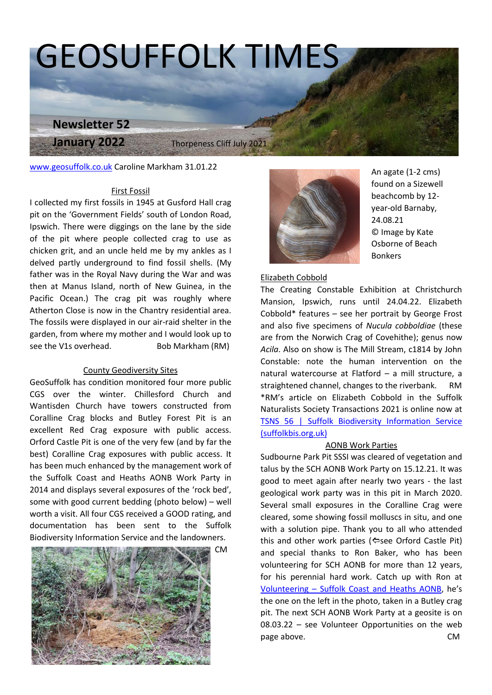# GEOSUFFOLK TIMES

 *Bawdsey Cliff SSSI*

 Thorpeness Cliff July 2021

[www.geosuffolk.co.uk](http://www.geosuffolk.co.uk/) Caroline Markham 31.01.22 

**Newsletter 52**

**January 2022** 

#### First Fossil

I collected my first fossils in 1945 at Gusford Hall crag  pit on the 'Government Fields' south of London Road, Ipswich. There were diggings on the lane by the side of the pit where people collected crag to use as chicken grit, and an uncle held me by my ankles as I delved partly underground to find fossil shells. (My father was in the Royal Navy during the War and was then at Manus Island, north of New Guinea, in the Pacific Ocean.) The crag pit was roughly where Atherton Close is now in the Chantry residential area. The fossils were displayed in our air-raid shelter in the garden, from where my mother and I would look up to see the V1s overhead. Bob Markham (RM)

### County Geodiversity Sites

GeoSuffolk has condition monitored four more public CGS over the winter. Chillesford Church and Wantisden Church have towers constructed from Coralline Crag blocks and Butley Forest Pit is an excellent Red Crag exposure with public access. Orford Castle Pit is one of the very few (and by far the best) Coralline Crag exposures with public access. It has been much enhanced by the management work of the Suffolk Coast and Heaths AONB Work Party in 2014 and displays several exposures of the 'rock bed', some with good current bedding (photo below) – well worth a visit. All four CGS received a GOOD rating, and documentation has been sent to the Suffolk Biodiversity Information Service and the landowners. tructed from <br>
St Pit is an <br>
ublic access. <br>
ublic access. (suffolkbis.or<br>
and by far the







An agate (1-2 cms) found on a Sizewell beachcomb by 12 year-old Barnaby, 24.08.21 © Image by Kate Osborne of Beach Bonkers

#### Elizabeth Cobbold

The Creating Constable Exhibition at Christchurch Mansion, Ipswich, runs until 24.04.22. Elizabeth Cobbold\* features – see her portrait by George Frost and also five specimens of *Nucula cobboldiae* (these are from the Norwich Crag of Covehithe); genus now *Acila*. Also on show is The Mill Stream, c1814 by John Constable: note the human intervention on the natural watercourse at Flatford – a mill structure, a straightened channel, changes to the riverbank. RM \*RM's article on Elizabeth Cobbold in the Suffolk Naturalists Society Transactions 2021 is online now at [TSNS 56 | Suffolk Biodiversity Information Service](http://www.suffolkbis.org.uk/node/1120)  [\(suffolkbis.org.uk\)](http://www.suffolkbis.org.uk/node/1120)

#### AONB Work Parties

Sudbourne Park Pit SSSI was cleared of vegetation and talus by the SCH AONB Work Party on 15.12.21. It was good to meet again after nearly two years - the last geological work party was in this pit in March 2020. Several small exposures in the Coralline Crag were cleared, some showing fossil molluscs in situ, and one with a solution pipe. Thank you to all who attended this and other work parties ( $\Leftrightarrow$ see Orford Castle Pit) and special thanks to Ron Baker, who has been volunteering for SCH AONB for more than 12 years, for his perennial hard work. Catch up with Ron at Volunteering – [Suffolk Coast and Heaths AONB,](https://www.suffolkcoastandheaths.org/volunteering/) he's the one on the left in the photo, taken in a Butley crag pit. The next SCH AONB Work Party at a geosite is on 08.03.22 – see Volunteer Opportunities on the web page above. The contract of the contract of the contract of the contract of the contract of the contract of the contract of the contract of the contract of the contract of the contract of the contract of the contract of th